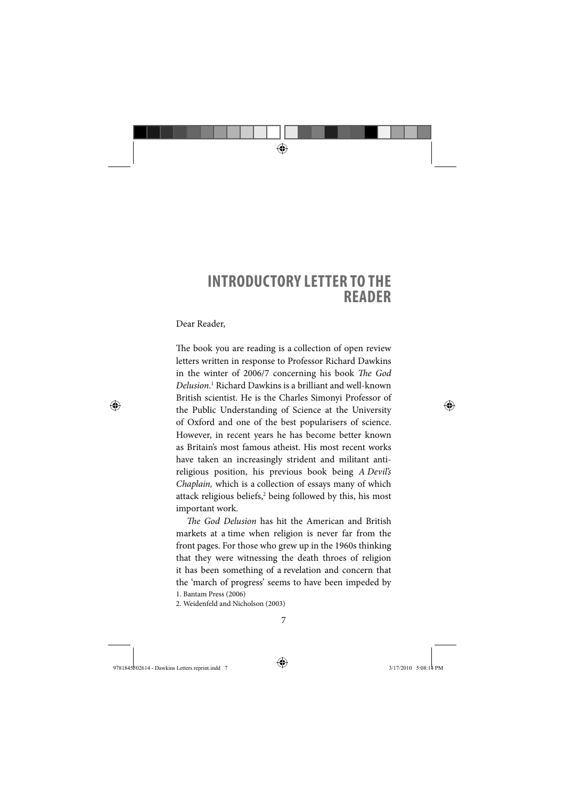

# **INTRODUCTORY LETTER TO THE READER**

# Dear Reader,

◈

The book you are reading is a collection of open review letters written in response to Professor Richard Dawkins in the winter of 2006/7 concerning his book *The God Delusion*. 1 Richard Dawkins is a brilliant and well-known British scientist. He is the Charles Simonyi Professor of the Public Understanding of Science at the University of Oxford and one of the best popularisers of science. However, in recent years he has become better known as Britain's most famous atheist. His most recent works have taken an increasingly strident and militant antireligious position, his previous book being *A Devil's Chaplain,* which is a collection of essays many of which attack religious beliefs,<sup>2</sup> being followed by this, his most important work.

The God Delusion has hit the American and British markets at a time when religion is never far from the front pages. For those who grew up in the 1960s thinking that they were witnessing the death throes of religion it has been something of a revelation and concern that the 'march of progress' seems to have been impeded by 1. Bantam Press (2006)

2. Weidenfeld and Nicholson (2003)

9781845602614 - Dawkins Letters reprint.indd 7 781845502614 - Dawkins Letters reprint.indd 7 3/17/2010 5:08:14

7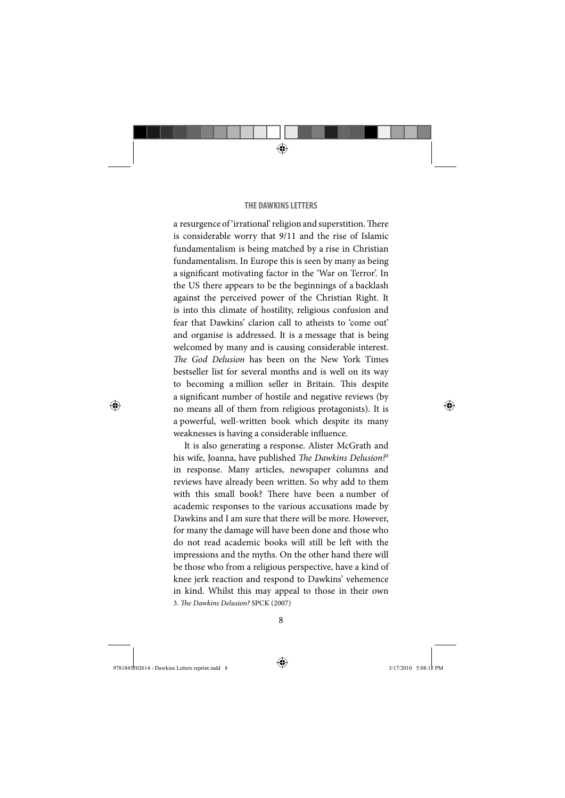

#### **THE DAWKINS LETTERS**

a resurgence of 'irrational' religion and superstition. There is considerable worry that 9/11 and the rise of Islamic fundamentalism is being matched by a rise in Christian fundamentalism. In Europe this is seen by many as being a significant motivating factor in the 'War on Terror'. In the US there appears to be the beginnings of a backlash against the perceived power of the Christian Right. It is into this climate of hostility, religious confusion and fear that Dawkins' clarion call to atheists to 'come out' and organise is addressed. It is a message that is being welcomed by many and is causing considerable interest. *The God Delusion* has been on the New York Times bestseller list for several months and is well on its way to becoming a million seller in Britain. This despite a significant number of hostile and negative reviews (by no means all of them from religious protagonists). It is a powerful, well-written book which despite its many weaknesses is having a considerable influence.

It is also generating a response. Alister McGrath and his wife, Joanna, have published *The Dawkins Delusion*?<sup>3</sup> in response. Many articles, newspaper columns and reviews have already been written. So why add to them with this small book? There have been a number of academic responses to the various accusations made by Dawkins and I am sure that there will be more. However, for many the damage will have been done and those who do not read academic books will still be left with the impressions and the myths. On the other hand there will be those who from a religious perspective, have a kind of knee jerk reaction and respond to Dawkins' vehemence in kind. Whilst this may appeal to those in their own 3. The Dawkins Delusion? SPCK (2007)

◈

8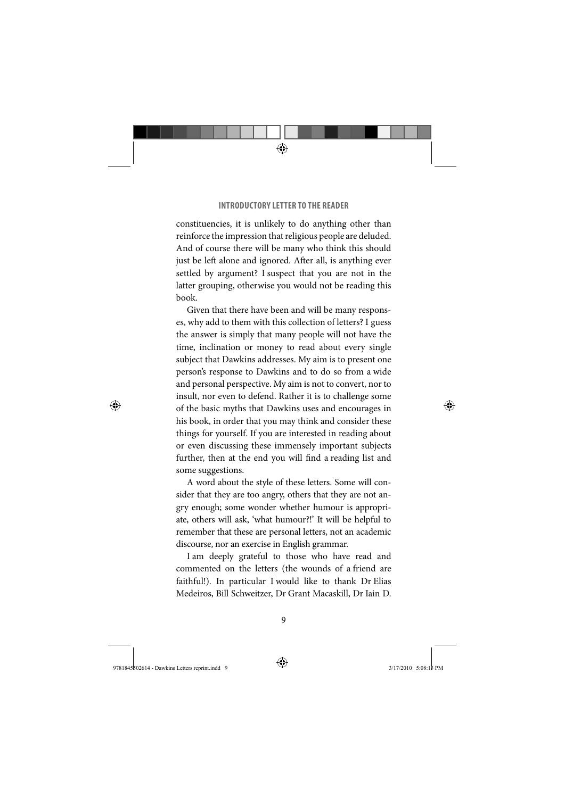

#### **INTRODUCTORY LETTER TO THE READER**

constituencies, it is unlikely to do anything other than reinforce the impression that religious people are deluded. And of course there will be many who think this should just be left alone and ignored. After all, is anything ever settled by argument? I suspect that you are not in the latter grouping, otherwise you would not be reading this book.

Given that there have been and will be many responses, why add to them with this collection of letters? I guess the answer is simply that many people will not have the time, inclination or money to read about every single subject that Dawkins addresses. My aim is to present one person's response to Dawkins and to do so from a wide and personal perspective. My aim is not to convert, nor to insult, nor even to defend. Rather it is to challenge some of the basic myths that Dawkins uses and encourages in his book, in order that you may think and consider these things for yourself. If you are interested in reading about or even discussing these immensely important subjects further, then at the end you will find a reading list and some suggestions.

A word about the style of these letters. Some will consider that they are too angry, others that they are not angry enough; some wonder whether humour is appropriate, others will ask, 'what humour?!' It will be helpful to remember that these are personal letters, not an academic discourse, nor an exercise in English grammar.

I am deeply grateful to those who have read and commented on the letters (the wounds of a friend are faithful!). In particular I would like to thank Dr Elias Medeiros, Bill Schweitzer, Dr Grant Macaskill, Dr Iain D.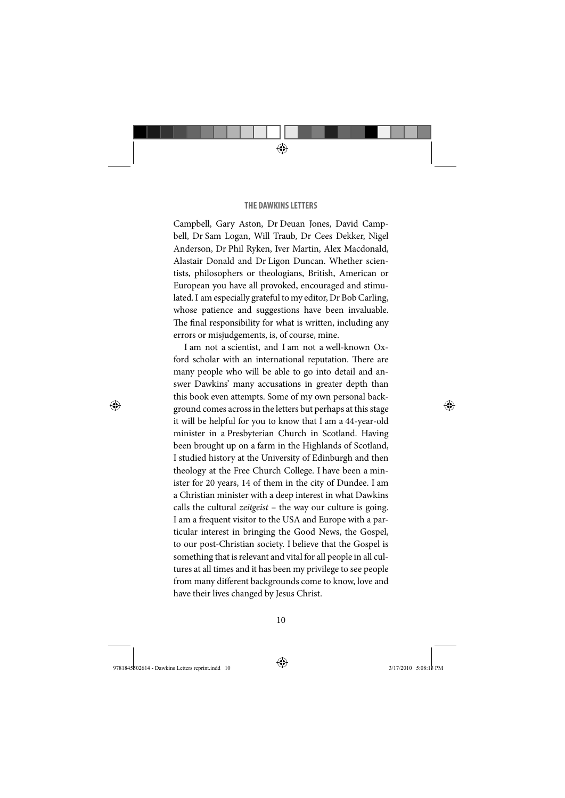

## **THE DAWKINS LETTERS**

Campbell, Gary Aston, Dr Deuan Jones, David Campbell, Dr Sam Logan, Will Traub, Dr Cees Dekker, Nigel Anderson, Dr Phil Ryken, Iver Martin, Alex Macdonald, Alastair Donald and Dr Ligon Duncan. Whether scientists, philosophers or theologians, British, American or European you have all provoked, encouraged and stimulated. I am especially grateful to my editor, Dr Bob Carling, whose patience and suggestions have been invaluable. The final responsibility for what is written, including any errors or misjudgements, is, of course, mine.

I am not a scientist, and I am not a well-known Oxford scholar with an international reputation. There are many people who will be able to go into detail and answer Dawkins' many accusations in greater depth than this book even attempts. Some of my own personal background comes across in the letters but perhaps at this stage it will be helpful for you to know that I am a 44-year-old minister in a Presbyterian Church in Scotland. Having been brought up on a farm in the Highlands of Scotland, I studied history at the University of Edinburgh and then theology at the Free Church College. I have been a minister for 20 years, 14 of them in the city of Dundee. I am a Christian minister with a deep interest in what Dawkins calls the cultural *zeitgeist* – the way our culture is going. I am a frequent visitor to the USA and Europe with a particular interest in bringing the Good News, the Gospel, to our post-Christian society. I believe that the Gospel is something that is relevant and vital for all people in all cultures at all times and it has been my privilege to see people from many different backgrounds come to know, love and have their lives changed by Jesus Christ.

◈

10